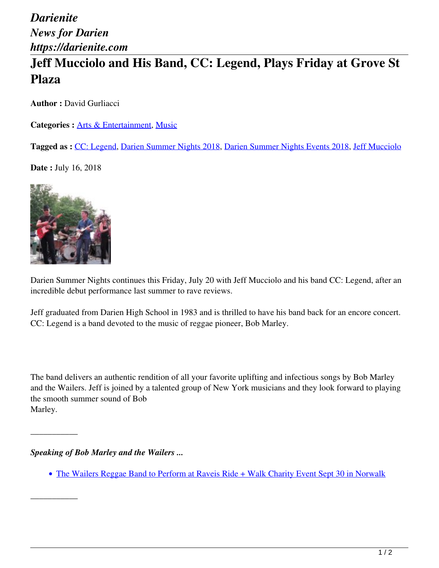## *Darienite News for Darien https://darienite.com* **Jeff Mucciolo and His Band, CC: Legend, Plays Friday at Grove St Plaza**

**Author :** David Gurliacci

Categories : [Arts & Entertainment](https://darienite.com/category/arts-entertainment), Music

**Tagged as :** CC: Legend, Darien Summer Nights 2018, Darien Summer Nights Events 2018, Jeff Mucciolo

**Date :** July 16, 2018



Darien Summer Nights continues this Friday, July 20 with Jeff Mucciolo and his band CC: Legend, after an incredible debut performance last summer to rave reviews.

Jeff graduated from Darien High School in 1983 and is thrilled to have his band back for an encore concert. CC: Legend is a band devoted to the music of reggae pioneer, Bob Marley.

The band delivers an authentic rendition of all your favorite uplifting and infectious songs by Bob Marley and the Wailers. Jeff is joined by a talented group of New York musicians and they look forward to playing the smooth summer sound of Bob Marley.

*Speaking of Bob Marley and the Wailers ...* 

\_\_\_\_\_\_\_\_\_\_\_

\_\_\_\_\_\_\_\_\_\_\_

• The Wailers Reggae Band to Perform at Raveis Ride + Walk Charity Event Sept 30 in Norwalk